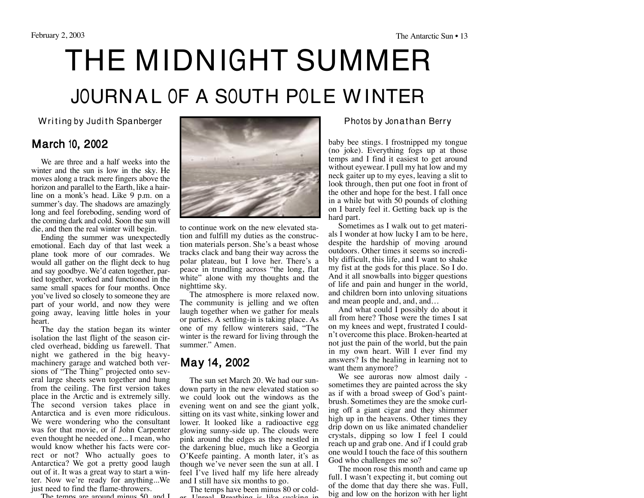# THE MIDNIGHT SUMMER JOURNAL OF A SOUTH POLE WINTER

#### March 10, 2002

We are three and a half weeks into the winter and the sun is low in the sky. He moves along a track mere fingers above the horizon and parallel to the Earth, like a hairline on a monk's head. Like 9 p.m. on a summer's day. The shadows are amazingly long and feel foreboding, sending word of the coming dark and cold. Soon the sun will die, and then the real winter will begin.

Ending the summer was unexpectedly emotional. Each day of that last week a plane took more of our comrades. We would all gather on the flight deck to hug and say goodbye. We'd eaten together, partied together, worked and functioned in the same small spaces for four months. Once you've lived so closely to someone they are part of your world, and now they were going away, leaving little holes in your heart.

The day the station began its winter isolation the last flight of the season circled overhead, bidding us farewell. That night we gathered in the big heavymachinery garage and watched both versions of "The Thing" projected onto several large sheets sewn together and hung from the ceiling. The first version takes place in the Arctic and is extremely silly. The second version takes place in Antarctica and is even more ridiculous. We were wondering who the consultant was for that movie, or if John Carpenter even thought he needed one... I mean, who would know whether his facts were correct or not? Who actually goes to Antarctica? We got a pretty good laugh out of it. It was a great way to start a winter. Now we're ready for anything...We just need to find the flame-throwers.

The temps are around minus 50, and I



to continue work on the new elevated station and fulfill my duties as the construction materials person. She's a beast whose tracks clack and bang their way across the polar plateau, but I love her. There's a peace in trundling across "the long, flat white" alone with my thoughts and the nighttime sky.

The atmosphere is more relaxed now. The community is jelling and we often laugh together when we gather for meals or parties. A settling-in is taking place. As one of my fellow winterers said, "The winter is the reward for living through the summer." Amen.

#### May 14, 2002

The sun set March 20. We had our sundown party in the new elevated station so we could look out the windows as the evening went on and see the giant yolk, sitting on its vast white, sinking lower and lower. It looked like a radioactive egg glowing sunny-side up. The clouds were pink around the edges as they nestled in the darkening blue, much like a Georgia O'Keefe painting. A month later, it's as though we've never seen the sun at all. I feel I've lived half my life here already and I still have six months to go.

The temps have been minus 80 or colder. Unreal. Breathing is like sucking in

baby bee stings. I frostnipped my tongue (no joke). Everything fogs up at those temps and I find it easiest to get around without eyewear. I pull my hat low and my neck gaiter up to my eyes, leaving a slit to look through, then put one foot in front of the other and hope for the best. I fall once in a while but with 50 pounds of clothing on I barely feel it. Getting back up is the hard part.

Sometimes as I walk out to get materials I wonder at how lucky I am to be here, despite the hardship of moving around outdoors. Other times it seems so incredibly difficult, this life, and I want to shake my fist at the gods for this place. So I do. And it all snowballs into bigger questions of life and pain and hunger in the world, and children born into unloving situations and mean people and, and, and…

And what could I possibly do about it all from here? Those were the times I sat on my knees and wept, frustrated I couldn't overcome this place. Broken-hearted at not just the pain of the world, but the pain in my own heart. Will I ever find my answers? Is the healing in learning not to want them anymore?

We see auroras now almost daily sometimes they are painted across the sky as if with a broad sweep of God's paintbrush. Sometimes they are the smoke curling off a giant cigar and they shimmer high up in the heavens. Other times they drip down on us like animated chandelier crystals, dipping so low I feel I could reach up and grab one. And if I could grab one would I touch the face of this southern God who challenges me so?

The moon rose this month and came up full. I wasn't expecting it, but coming out of the dome that day there she was. Full, big and low on the horizon with her light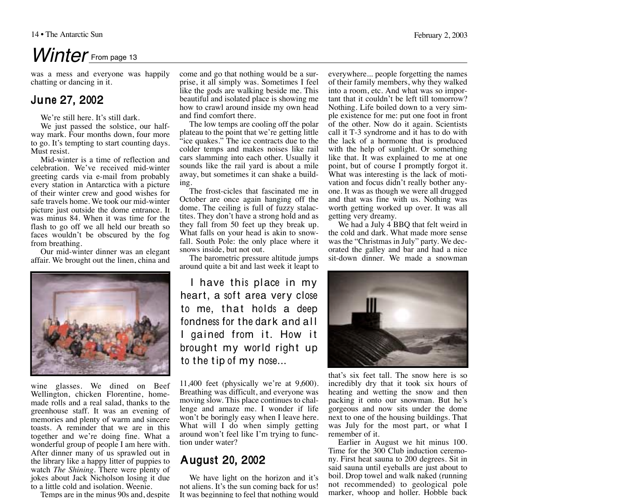## Winter From page 13

was a mess and everyone was happily chatting or dancing in it.

#### June 27, 2002

We're still here. It's still dark.

We just passed the solstice, our halfway mark. Four months down, four more to go. It's tempting to start counting days. Must resist.

Mid-winter is a time of reflection and celebration. We've received mid-winter greeting cards via e-mail from probably every station in Antarctica with a picture of their winter crew and good wishes for safe travels home. We took our mid-winter picture just outside the dome entrance. It was minus 84. When it was time for the flash to go off we all held our breath so faces wouldn't be obscured by the fog from breathing.

Our mid-winter dinner was an elegant affair. We brought out the linen, china and



wine glasses. We dined on Beef Wellington, chicken Florentine, homemade rolls and a real salad, thanks to the greenhouse staff. It was an evening of memories and plenty of warm and sincere toasts. A reminder that we are in this together and we're doing fine. What a wonderful group of people I am here with. After dinner many of us sprawled out in the library like a happy litter of puppies to watch *The Shining*. There were plenty of jokes about Jack Nicholson losing it due to a little cold and isolation. Weenie.

Temps are in the minus 90s and, despite

come and go that nothing would be a surprise, it all simply was. Sometimes I feel like the gods are walking beside me. This beautiful and isolated place is showing me how to crawl around inside my own head and find comfort there.

The low temps are cooling off the polar plateau to the point that we're getting little "ice quakes." The ice contracts due to the colder temps and makes noises like rail cars slamming into each other. Usually it sounds like the rail yard is about a mile away, but sometimes it can shake a building.

The frost-cicles that fascinated me in October are once again hanging off the dome. The ceiling is full of fuzzy stalactites. They don't have a strong hold and as they fall from 50 feet up they break up. What falls on your head is akin to snowfall. South Pole: the only place where it snows inside, but not out.

The barometric pressure altitude jumps around quite a bit and last week it leapt to

I have this place in my heart, a soft area very close to me, that holds a deep fondness for the dark and all gained from it. How it brought my world right up to the tip of my nose...

11,400 feet (physically we're at 9,600). Breathing was difficult, and everyone was moving slow. This place continues to challenge and amaze me. I wonder if life won't be boringly easy when I leave here. What will I do when simply getting around won't feel like I'm trying to function under water?

#### August 20, 2002

We have light on the horizon and it's not aliens. It's the sun coming back for us! It was beginning to feel that nothing would

everywhere... people forgetting the names of their family members, why they walked into a room, etc. And what was so important that it couldn't be left till tomorrow? Nothing. Life boiled down to a very simple existence for me: put one foot in front of the other. Now do it again. Scientists call it T-3 syndrome and it has to do with the lack of a hormone that is produced with the help of sunlight. Or something like that. It was explained to me at one point, but of course I promptly forgot it. What was interesting is the lack of motivation and focus didn't really bother anyone. It was as though we were all drugged and that was fine with us. Nothing was worth getting worked up over. It was all getting very dreamy.

We had a July 4 BBQ that felt weird in the cold and dark. What made more sense was the "Christmas in July" party. We decorated the galley and bar and had a nice sit-down dinner. We made a snowman



that's six feet tall. The snow here is so incredibly dry that it took six hours of heating and wetting the snow and then packing it onto our snowman. But he's gorgeous and now sits under the dome next to one of the housing buildings. That was July for the most part, or what I remember of it.

Earlier in August we hit minus 100. Time for the 300 Club induction ceremony. First heat sauna to 200 degrees. Sit in said sauna until eyeballs are just about to boil. Drop towel and walk naked (running not recommended) to geological pole marker, whoop and holler. Hobble back